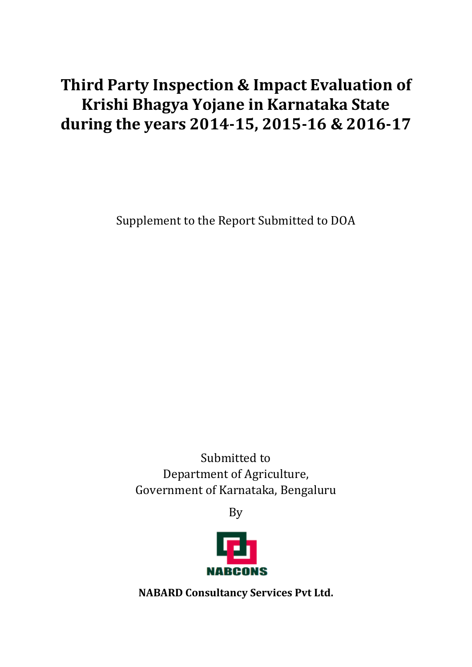# **Third Party Inspection & Impact Evaluation of Krishi Bhagya Yojane in Karnataka State during the years 2014-15, 2015-16 & 2016-17**

Supplement to the Report Submitted to DOA

Submitted to Department of Agriculture, Government of Karnataka, Bengaluru

By



**NABARD Consultancy Services Pvt Ltd.**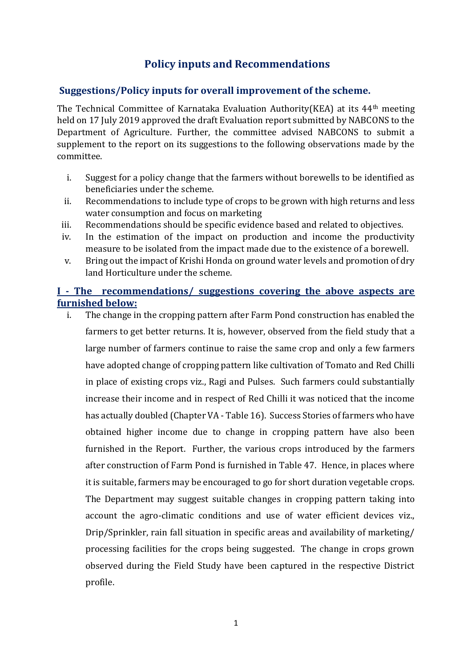# **Policy inputs and Recommendations**

#### **Suggestions/Policy inputs for overall improvement of the scheme.**

The Technical Committee of Karnataka Evaluation Authority(KEA) at its 44th meeting held on 17 July 2019 approved the draft Evaluation report submitted by NABCONS to the Department of Agriculture. Further, the committee advised NABCONS to submit a supplement to the report on its suggestions to the following observations made by the committee.

- i. Suggest for a policy change that the farmers without borewells to be identified as beneficiaries under the scheme.
- ii. Recommendations to include type of crops to be grown with high returns and less water consumption and focus on marketing
- iii. Recommendations should be specific evidence based and related to objectives.
- iv. In the estimation of the impact on production and income the productivity measure to be isolated from the impact made due to the existence of a borewell.
- v. Bring out the impact of Krishi Honda on ground water levels and promotion of dry land Horticulture under the scheme.

# **I - The recommendations/ suggestions covering the above aspects are furnished below:**

i. The change in the cropping pattern after Farm Pond construction has enabled the farmers to get better returns. It is, however, observed from the field study that a large number of farmers continue to raise the same crop and only a few farmers have adopted change of cropping pattern like cultivation of Tomato and Red Chilli in place of existing crops viz., Ragi and Pulses. Such farmers could substantially increase their income and in respect of Red Chilli it was noticed that the income has actually doubled (Chapter VA - Table 16). Success Stories of farmers who have obtained higher income due to change in cropping pattern have also been furnished in the Report. Further, the various crops introduced by the farmers after construction of Farm Pond is furnished in Table 47. Hence, in places where it is suitable, farmers may be encouraged to go for short duration vegetable crops. The Department may suggest suitable changes in cropping pattern taking into account the agro-climatic conditions and use of water efficient devices viz., Drip/Sprinkler, rain fall situation in specific areas and availability of marketing/ processing facilities for the crops being suggested. The change in crops grown observed during the Field Study have been captured in the respective District profile.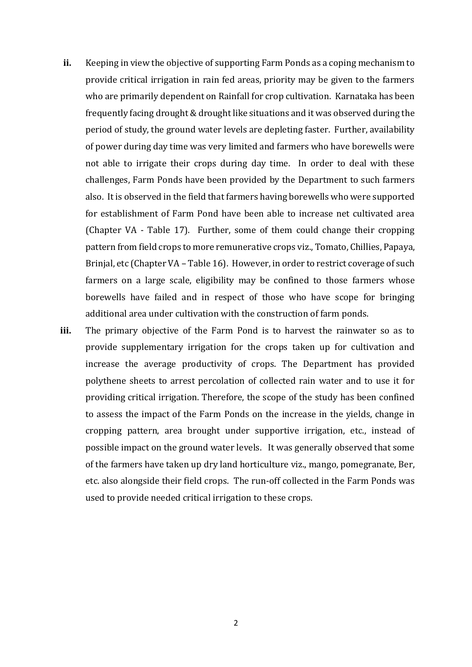- **ii.** Keeping in view the objective of supporting Farm Ponds as a coping mechanism to provide critical irrigation in rain fed areas, priority may be given to the farmers who are primarily dependent on Rainfall for crop cultivation. Karnataka has been frequently facing drought & drought like situations and it was observed during the period of study, the ground water levels are depleting faster. Further, availability of power during day time was very limited and farmers who have borewells were not able to irrigate their crops during day time. In order to deal with these challenges, Farm Ponds have been provided by the Department to such farmers also. It is observed in the field that farmers having borewells who were supported for establishment of Farm Pond have been able to increase net cultivated area (Chapter VA - Table 17). Further, some of them could change their cropping pattern from field crops to more remunerative crops viz., Tomato, Chillies, Papaya, Brinjal, etc (Chapter VA – Table 16). However, in order to restrict coverage of such farmers on a large scale, eligibility may be confined to those farmers whose borewells have failed and in respect of those who have scope for bringing additional area under cultivation with the construction of farm ponds.
- **iii.** The primary objective of the Farm Pond is to harvest the rainwater so as to provide supplementary irrigation for the crops taken up for cultivation and increase the average productivity of crops. The Department has provided polythene sheets to arrest percolation of collected rain water and to use it for providing critical irrigation. Therefore, the scope of the study has been confined to assess the impact of the Farm Ponds on the increase in the yields, change in cropping pattern, area brought under supportive irrigation, etc., instead of possible impact on the ground water levels. It was generally observed that some of the farmers have taken up dry land horticulture viz., mango, pomegranate, Ber, etc. also alongside their field crops. The run-off collected in the Farm Ponds was used to provide needed critical irrigation to these crops.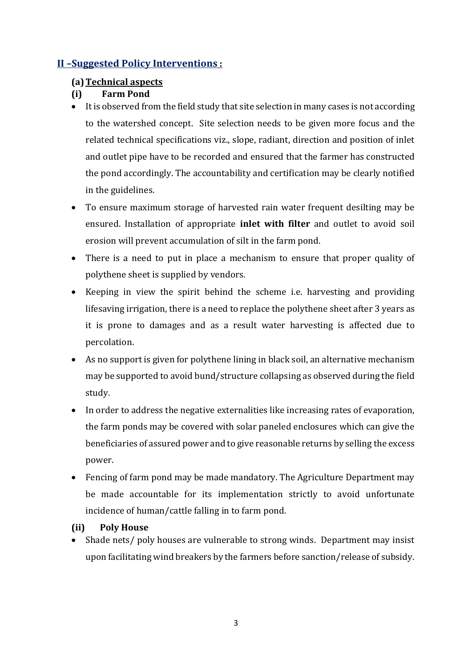# **II –Suggested Policy Interventions :**

# **(a)Technical aspects**

# **(i) Farm Pond**

- It is observed from the field study that site selection in many cases is not according to the watershed concept. Site selection needs to be given more focus and the related technical specifications viz., slope, radiant, direction and position of inlet and outlet pipe have to be recorded and ensured that the farmer has constructed the pond accordingly. The accountability and certification may be clearly notified in the guidelines.
- To ensure maximum storage of harvested rain water frequent desilting may be ensured. Installation of appropriate **inlet with filter** and outlet to avoid soil erosion will prevent accumulation of silt in the farm pond.
- There is a need to put in place a mechanism to ensure that proper quality of polythene sheet is supplied by vendors.
- Keeping in view the spirit behind the scheme i.e. harvesting and providing lifesaving irrigation, there is a need to replace the polythene sheet after 3 years as it is prone to damages and as a result water harvesting is affected due to percolation.
- As no support is given for polythene lining in black soil, an alternative mechanism may be supported to avoid bund/structure collapsing as observed during the field study.
- In order to address the negative externalities like increasing rates of evaporation, the farm ponds may be covered with solar paneled enclosures which can give the beneficiaries of assured power and to give reasonable returns by selling the excess power.
- Fencing of farm pond may be made mandatory. The Agriculture Department may be made accountable for its implementation strictly to avoid unfortunate incidence of human/cattle falling in to farm pond.

# **(ii) Poly House**

• Shade nets/ poly houses are vulnerable to strong winds. Department may insist upon facilitating wind breakers by the farmers before sanction/release of subsidy.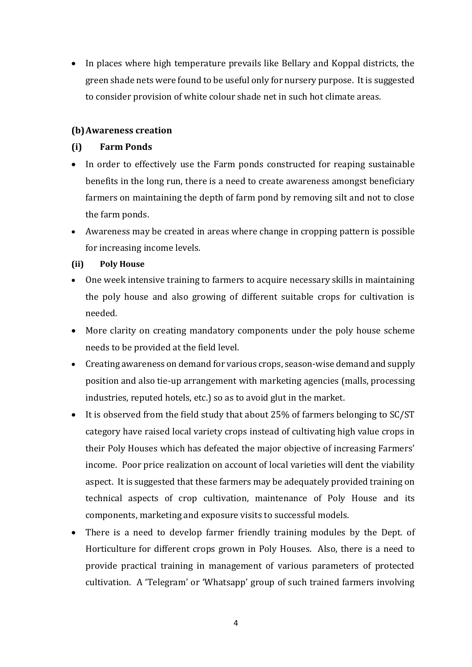• In places where high temperature prevails like Bellary and Koppal districts, the green shade nets were found to be useful only for nursery purpose. It is suggested to consider provision of white colour shade net in such hot climate areas.

#### **(b)Awareness creation**

#### **(i) Farm Ponds**

- In order to effectively use the Farm ponds constructed for reaping sustainable benefits in the long run, there is a need to create awareness amongst beneficiary farmers on maintaining the depth of farm pond by removing silt and not to close the farm ponds.
- Awareness may be created in areas where change in cropping pattern is possible for increasing income levels.

#### **(ii) Poly House**

- One week intensive training to farmers to acquire necessary skills in maintaining the poly house and also growing of different suitable crops for cultivation is needed.
- More clarity on creating mandatory components under the poly house scheme needs to be provided at the field level.
- Creating awareness on demand for various crops, season-wise demand and supply position and also tie-up arrangement with marketing agencies (malls, processing industries, reputed hotels, etc.) so as to avoid glut in the market.
- It is observed from the field study that about 25% of farmers belonging to SC/ST category have raised local variety crops instead of cultivating high value crops in their Poly Houses which has defeated the major objective of increasing Farmers' income. Poor price realization on account of local varieties will dent the viability aspect. It is suggested that these farmers may be adequately provided training on technical aspects of crop cultivation, maintenance of Poly House and its components, marketing and exposure visits to successful models.
- There is a need to develop farmer friendly training modules by the Dept. of Horticulture for different crops grown in Poly Houses. Also, there is a need to provide practical training in management of various parameters of protected cultivation. A 'Telegram' or 'Whatsapp' group of such trained farmers involving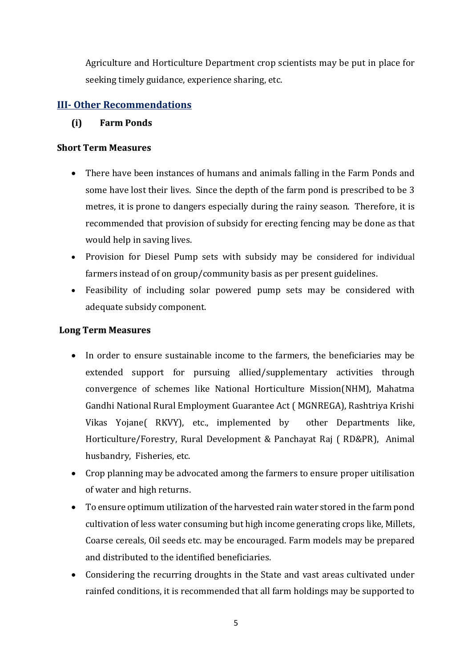Agriculture and Horticulture Department crop scientists may be put in place for seeking timely guidance, experience sharing, etc.

# **III- Other Recommendations**

#### **(i) Farm Ponds**

#### **Short Term Measures**

- There have been instances of humans and animals falling in the Farm Ponds and some have lost their lives. Since the depth of the farm pond is prescribed to be 3 metres, it is prone to dangers especially during the rainy season. Therefore, it is recommended that provision of subsidy for erecting fencing may be done as that would help in saving lives.
- Provision for Diesel Pump sets with subsidy may be considered for individual farmers instead of on group/community basis as per present guidelines.
- Feasibility of including solar powered pump sets may be considered with adequate subsidy component.

#### **Long Term Measures**

- In order to ensure sustainable income to the farmers, the beneficiaries may be extended support for pursuing allied/supplementary activities through convergence of schemes like National Horticulture Mission(NHM), Mahatma Gandhi National Rural Employment Guarantee Act ( MGNREGA), Rashtriya Krishi Vikas Yojane( RKVY), etc., implemented by other Departments like, Horticulture/Forestry, Rural Development & Panchayat Raj ( RD&PR), Animal husbandry, Fisheries, etc.
- Crop planning may be advocated among the farmers to ensure proper uitilisation of water and high returns.
- To ensure optimum utilization of the harvested rain water stored in the farm pond cultivation of less water consuming but high income generating crops like, Millets, Coarse cereals, Oil seeds etc. may be encouraged. Farm models may be prepared and distributed to the identified beneficiaries.
- Considering the recurring droughts in the State and vast areas cultivated under rainfed conditions, it is recommended that all farm holdings may be supported to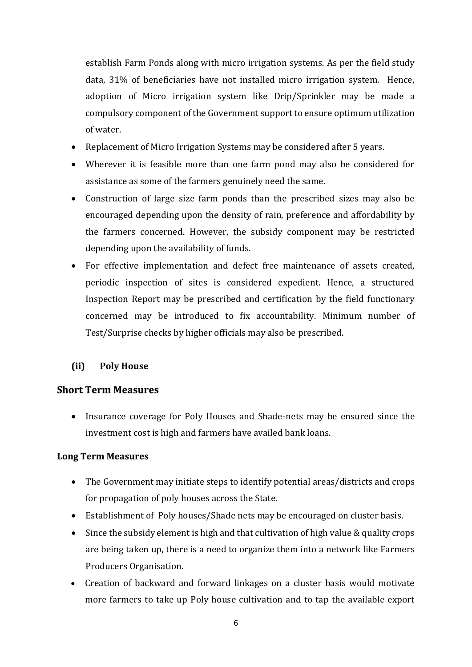establish Farm Ponds along with micro irrigation systems. As per the field study data, 31% of beneficiaries have not installed micro irrigation system. Hence, adoption of Micro irrigation system like Drip/Sprinkler may be made a compulsory component of the Government support to ensure optimum utilization of water.

- Replacement of Micro Irrigation Systems may be considered after 5 years.
- Wherever it is feasible more than one farm pond may also be considered for assistance as some of the farmers genuinely need the same.
- Construction of large size farm ponds than the prescribed sizes may also be encouraged depending upon the density of rain, preference and affordability by the farmers concerned. However, the subsidy component may be restricted depending upon the availability of funds.
- For effective implementation and defect free maintenance of assets created, periodic inspection of sites is considered expedient. Hence, a structured Inspection Report may be prescribed and certification by the field functionary concerned may be introduced to fix accountability. Minimum number of Test/Surprise checks by higher officials may also be prescribed.

# **(ii) Poly House**

# **Short Term Measures**

• Insurance coverage for Poly Houses and Shade-nets may be ensured since the investment cost is high and farmers have availed bank loans.

# **Long Term Measures**

- The Government may initiate steps to identify potential areas/districts and crops for propagation of poly houses across the State.
- Establishment of Poly houses/Shade nets may be encouraged on cluster basis.
- Since the subsidy element is high and that cultivation of high value & quality crops are being taken up, there is a need to organize them into a network like Farmers Producers Organisation.
- Creation of backward and forward linkages on a cluster basis would motivate more farmers to take up Poly house cultivation and to tap the available export